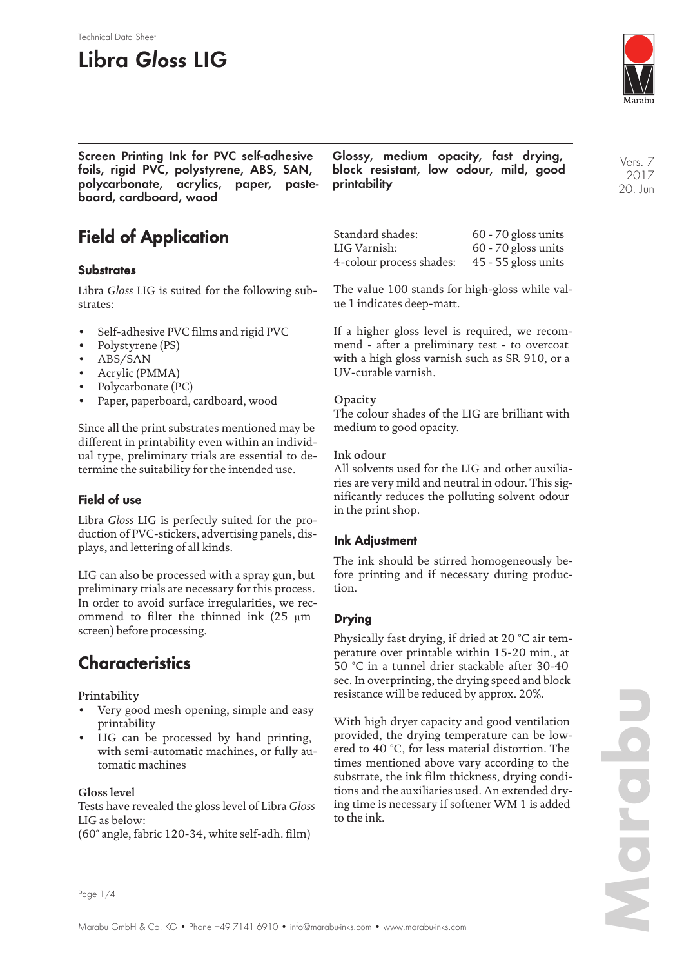# **Libra Gloss LIG**

Technical Data Sheet



**Screen Printing Ink for PVC self-adhesive foils, rigid PVC, polystyrene, ABS, SAN, polycarbonate, acrylics, paper, pasteboard, cardboard, wood**

**Glossy, medium opacity, fast drying, block resistant, low odour, mild, good printability**

**Field of Application**

### **Substrates**

Libra *Gloss* LIG is suited for the following substrates:

- Self-adhesive PVC films and rigid PVC
- Polystyrene (PS)
- ABS/SAN
- Acrylic (PMMA)
- Polycarbonate (PC)
- Paper, paperboard, cardboard, wood

Since all the print substrates mentioned may be different in printability even within an individual type, preliminary trials are essential to determine the suitability for the intended use.

### **Field of use**

Libra *Gloss* LIG is perfectly suited for the production of PVC-stickers, advertising panels, displays, and lettering of all kinds.

LIG can also be processed with a spray gun, but preliminary trials are necessary for this process. In order to avoid surface irregularities, we recommend to filter the thinned ink (25 µm screen) before processing.

## **Characteristics**

Printability

- Very good mesh opening, simple and easy printability
- LIG can be processed by hand printing, with semi-automatic machines, or fully automatic machines

#### Gloss level

Tests have revealed the gloss level of Libra *Gloss* LIG as below:

(60° angle, fabric 120-34, white self-adh. film)

Standard shades: 60 - 70 gloss units LIG Varnish: 60 - 70 gloss units 4-colour process shades: 45 - 55 gloss units

The value 100 stands for high-gloss while value 1 indicates deep-matt.

If a higher gloss level is required, we recommend - after a preliminary test - to overcoat with a high gloss varnish such as SR 910, or a UV-curable varnish.

### **Opacity**

The colour shades of the LIG are brilliant with medium to good opacity.

#### Ink odour

All solvents used for the LIG and other auxiliaries are very mild and neutral in odour. This significantly reduces the polluting solvent odour in the print shop.

### **Ink Adjustment**

The ink should be stirred homogeneously before printing and if necessary during production.

### **Drying**

Physically fast drying, if dried at 20 °C air temperature over printable within 15-20 min., at 50 °C in a tunnel drier stackable after 30-40 sec. In overprinting, the drying speed and block resistance will be reduced by approx. 20%.

With high dryer capacity and good ventilation provided, the drying temperature can be lowered to 40 °C, for less material distortion. The times mentioned above vary according to the substrate, the ink film thickness, drying conditions and the auxiliaries used. An extended drying time is necessary if softener WM 1 is added to the ink.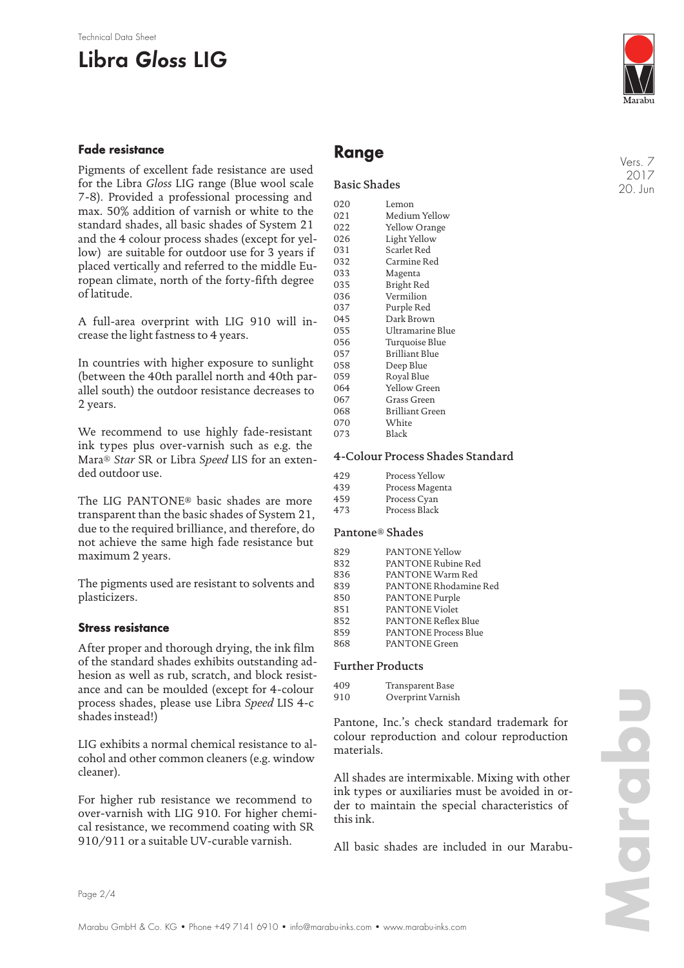#### Technical Data Sheet

# **Libra Gloss LIG**

#### **Fade resistance**

Pigments of excellent fade resistance are used for the Libra *Gloss* LIG range (Blue wool scale 7-8). Provided a professional processing and max. 50% addition of varnish or white to the standard shades, all basic shades of System 21 and the 4 colour process shades (except for yellow) are suitable for outdoor use for 3 years if placed vertically and referred to the middle European climate, north of the forty-fifth degree of latitude.

A full-area overprint with LIG 910 will increase the light fastness to 4 years.

In countries with higher exposure to sunlight (between the 40th parallel north and 40th parallel south) the outdoor resistance decreases to 2 years.

We recommend to use highly fade-resistant ink types plus over-varnish such as e.g. the Mara® *Star* SR or Libra *Speed* LIS for an extended outdoor use.

The LIG PANTONE® basic shades are more transparent than the basic shades of System 21, due to the required brilliance, and therefore, do not achieve the same high fade resistance but maximum 2 years.

The pigments used are resistant to solvents and plasticizers.

#### **Stress resistance**

After proper and thorough drying, the ink film of the standard shades exhibits outstanding adhesion as well as rub, scratch, and block resistance and can be moulded (except for 4-colour process shades, please use Libra *Speed* LIS 4-c shades instead!)

LIG exhibits a normal chemical resistance to alcohol and other common cleaners (e.g. window cleaner).

For higher rub resistance we recommend to over-varnish with LIG 910. For higher chemical resistance, we recommend coating with SR 910/911 or a suitable UV-curable varnish.



### **Range**

#### Basic Shades

| 020 | Lemon            |
|-----|------------------|
| 021 | Medium Yellow    |
| 022 | Yellow Orange    |
| 026 | Light Yellow     |
| 031 | Scarlet Red      |
| 032 | Carmine Red      |
| 033 | Magenta          |
| 035 | Bright Red       |
| 036 | Vermilion        |
| 037 | Purple Red       |
| 045 | Dark Brown       |
| 055 | Ultramarine Blue |
| 056 | Turquoise Blue   |
| 057 | Brilliant Blue   |
| 058 | Deep Blue        |
| 059 | Royal Blue       |
| 064 | Yellow Green     |
| 067 | Grass Green      |
| 068 | Brilliant Green  |
| 070 | White            |
| 073 | Black            |
|     |                  |

#### 4-Colour Process Shades Standard

| 429 | Process Yellow  |
|-----|-----------------|
| 439 | Process Magenta |
| 459 | Process Cyan    |
| 473 | Process Black   |
|     |                 |

#### Pantone® Shades

| 829 | PANTONE Yellow              |
|-----|-----------------------------|
| 832 | <b>PANTONE Rubine Red</b>   |
| 836 | PANTONE Warm Red            |
| 839 | PANTONE Rhodamine Red       |
| 850 | PANTONE Purple              |
| 851 | <b>PANTONE Violet</b>       |
| 852 | <b>PANTONE Reflex Blue</b>  |
| 859 | <b>PANTONE Process Blue</b> |
| 868 | <b>PANTONE</b> Green        |

#### Further Products

| 409 | Transparent Base  |
|-----|-------------------|
| 910 | Overprint Varnish |

Pantone, Inc.'s check standard trademark for colour reproduction and colour reproduction materials.

All shades are intermixable. Mixing with other ink types or auxiliaries must be avoided in order to maintain the special characteristics of this ink.

All basic shades are included in our Marabu-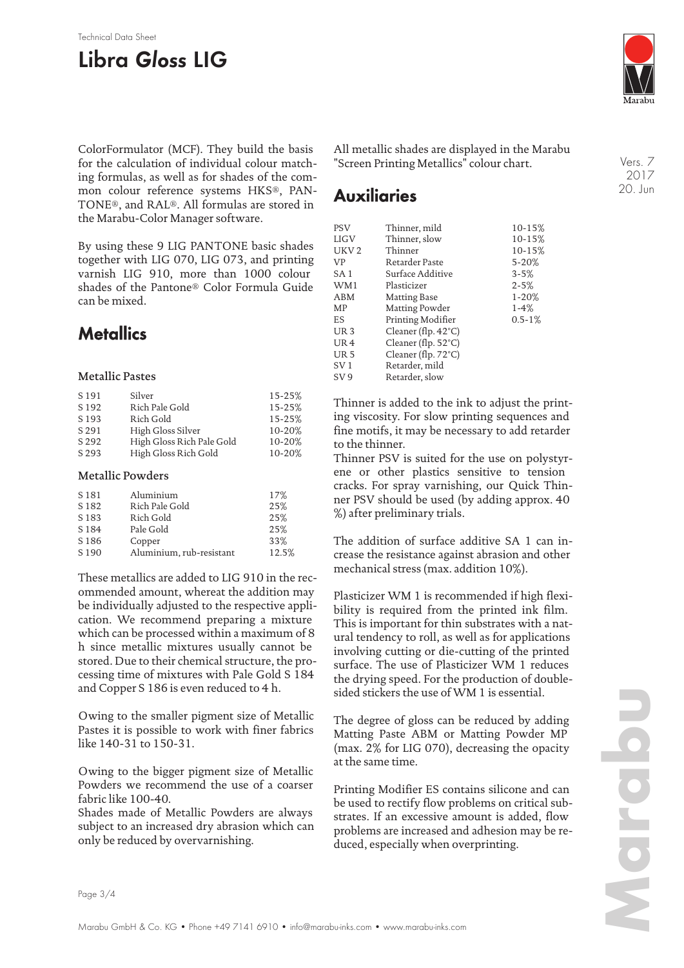#### Technical Data Sheet

# **Libra Gloss LIG**



ColorFormulator (MCF). They build the basis for the calculation of individual colour matching formulas, as well as for shades of the common colour reference systems HKS®, PAN-TONE®, and RAL®. All formulas are stored in the Marabu-Color Manager software.

By using these 9 LIG PANTONE basic shades together with LIG 070, LIG 073, and printing varnish LIG 910, more than 1000 colour shades of the Pantone® Color Formula Guide can be mixed.

## **Metallics**

#### Metallic Pastes

| S 191            | Silver                    | 15-25% |
|------------------|---------------------------|--------|
| S <sub>192</sub> | Rich Pale Gold            | 15-25% |
| S <sub>193</sub> | Rich Gold                 | 15-25% |
| S 291            | High Gloss Silver         | 10-20% |
| S 292            | High Gloss Rich Pale Gold | 10-20% |
| S 293            | High Gloss Rich Gold      | 10-20% |

#### Metallic Powders

| S <sub>181</sub> | Aluminium                | 17%   |
|------------------|--------------------------|-------|
| S <sub>182</sub> | Rich Pale Gold           | 25%   |
| S <sub>183</sub> | Rich Gold                | 25%   |
| S 184            | Pale Gold                | 25%   |
| S <sub>186</sub> | Copper                   | 33%   |
| S 190            | Aluminium, rub-resistant | 12.5% |

These metallics are added to LIG 910 in the recommended amount, whereat the addition may be individually adjusted to the respective application. We recommend preparing a mixture which can be processed within a maximum of 8 h since metallic mixtures usually cannot be stored. Due to their chemical structure, the processing time of mixtures with Pale Gold S 184 and Copper S 186 is even reduced to 4 h.

Owing to the smaller pigment size of Metallic Pastes it is possible to work with finer fabrics like 140-31 to 150-31.

Owing to the bigger pigment size of Metallic Powders we recommend the use of a coarser fabric like 100-40.

Shades made of Metallic Powders are always subject to an increased dry abrasion which can only be reduced by overvarnishing.

All metallic shades are displayed in the Marabu "Screen Printing Metallics" colour chart.

### **Auxiliaries**

| <b>PSV</b>       | Thinner, mild                 | $10 - 15%$  |
|------------------|-------------------------------|-------------|
| <b>LIGV</b>      | Thinner, slow                 | 10-15%      |
| UKV <sub>2</sub> | Thinner                       | 10-15%      |
| VP               | Retarder Paste                | $5 - 20%$   |
| SA <sub>1</sub>  | Surface Additive              | $3 - 5%$    |
| WM1              | Plasticizer                   | $2 - 5%$    |
| ABM              | Matting Base                  | $1 - 20%$   |
| MP               | Matting Powder                | $1-4%$      |
| ES               | Printing Modifier             | $0.5 - 1\%$ |
| UR <sub>3</sub>  | Cleaner (flp. $42^{\circ}$ C) |             |
| UR <sub>4</sub>  | Cleaner (flp. $52^{\circ}$ C) |             |
| UR <sub>5</sub>  | Cleaner (flp. 72°C)           |             |
| SV <sub>1</sub>  | Retarder, mild                |             |
| SV 9             | Retarder, slow                |             |
|                  |                               |             |

Thinner is added to the ink to adjust the printing viscosity. For slow printing sequences and fine motifs, it may be necessary to add retarder to the thinner.

Thinner PSV is suited for the use on polystyrene or other plastics sensitive to tension cracks. For spray varnishing, our Quick Thinner PSV should be used (by adding approx. 40 %) after preliminary trials.

The addition of surface additive SA 1 can increase the resistance against abrasion and other mechanical stress (max. addition 10%).

Plasticizer WM 1 is recommended if high flexibility is required from the printed ink film. This is important for thin substrates with a natural tendency to roll, as well as for applications involving cutting or die-cutting of the printed surface. The use of Plasticizer WM 1 reduces the drying speed. For the production of doublesided stickers the use of WM 1 is essential.

The degree of gloss can be reduced by adding Matting Paste ABM or Matting Powder MP (max. 2% for LIG 070), decreasing the opacity at the same time.

Printing Modifier ES contains silicone and can be used to rectify flow problems on critical substrates. If an excessive amount is added, flow problems are increased and adhesion may be reduced, especially when overprinting.

Vers. 7 2017 20. Jun